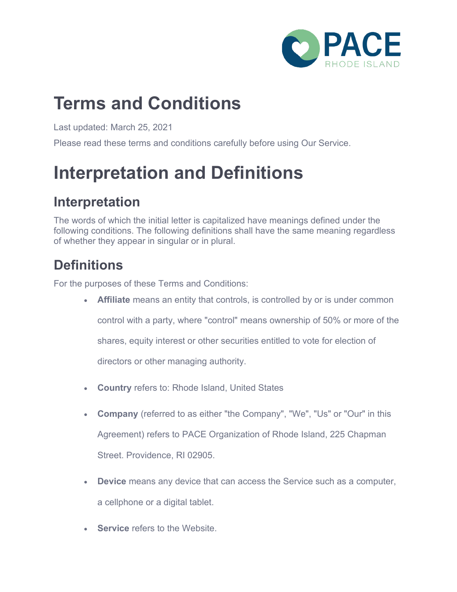

### **Terms and Conditions**

Last updated: March 25, 2021

Please read these terms and conditions carefully before using Our Service.

## **Interpretation and Definitions**

#### **Interpretation**

The words of which the initial letter is capitalized have meanings defined under the following conditions. The following definitions shall have the same meaning regardless of whether they appear in singular or in plural.

#### **Definitions**

For the purposes of these Terms and Conditions:

- **Affiliate** means an entity that controls, is controlled by or is under common control with a party, where "control" means ownership of 50% or more of the shares, equity interest or other securities entitled to vote for election of directors or other managing authority.
- **Country** refers to: Rhode Island, United States
- **Company** (referred to as either "the Company", "We", "Us" or "Our" in this Agreement) refers to PACE Organization of Rhode Island, 225 Chapman Street. Providence, RI 02905.
- **Device** means any device that can access the Service such as a computer, a cellphone or a digital tablet.
- **Service** refers to the Website.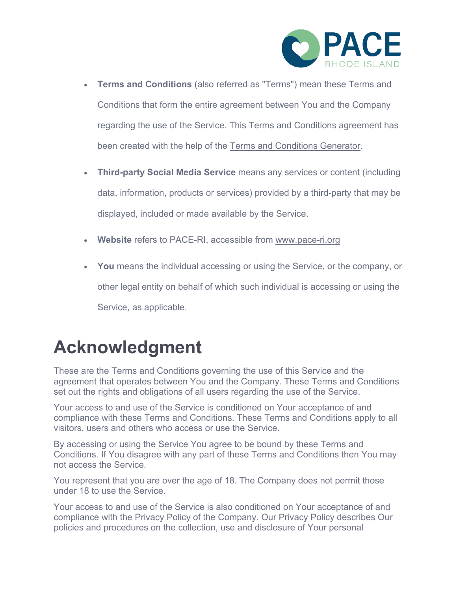

- **Terms and Conditions** (also referred as "Terms") mean these Terms and Conditions that form the entire agreement between You and the Company regarding the use of the Service. This Terms and Conditions agreement has been created with the help of the [Terms and Conditions Generator.](https://www.privacypolicies.com/terms-conditions-generator/)
- **Third-party Social Media Service** means any services or content (including data, information, products or services) provided by a third-party that may be displayed, included or made available by the Service.
- **Website** refers to PACE-RI, accessible from [www.pace-ri.org](https://www.privacypolicies.com/live/www.pace-ri.org)
- **You** means the individual accessing or using the Service, or the company, or other legal entity on behalf of which such individual is accessing or using the Service, as applicable.

### **Acknowledgment**

These are the Terms and Conditions governing the use of this Service and the agreement that operates between You and the Company. These Terms and Conditions set out the rights and obligations of all users regarding the use of the Service.

Your access to and use of the Service is conditioned on Your acceptance of and compliance with these Terms and Conditions. These Terms and Conditions apply to all visitors, users and others who access or use the Service.

By accessing or using the Service You agree to be bound by these Terms and Conditions. If You disagree with any part of these Terms and Conditions then You may not access the Service.

You represent that you are over the age of 18. The Company does not permit those under 18 to use the Service.

Your access to and use of the Service is also conditioned on Your acceptance of and compliance with the Privacy Policy of the Company. Our Privacy Policy describes Our policies and procedures on the collection, use and disclosure of Your personal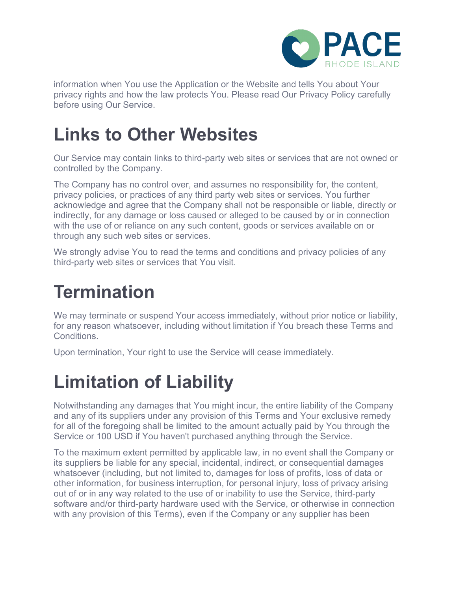

information when You use the Application or the Website and tells You about Your privacy rights and how the law protects You. Please read Our Privacy Policy carefully before using Our Service.

## **Links to Other Websites**

Our Service may contain links to third-party web sites or services that are not owned or controlled by the Company.

The Company has no control over, and assumes no responsibility for, the content, privacy policies, or practices of any third party web sites or services. You further acknowledge and agree that the Company shall not be responsible or liable, directly or indirectly, for any damage or loss caused or alleged to be caused by or in connection with the use of or reliance on any such content, goods or services available on or through any such web sites or services.

We strongly advise You to read the terms and conditions and privacy policies of any third-party web sites or services that You visit.

### **Termination**

We may terminate or suspend Your access immediately, without prior notice or liability, for any reason whatsoever, including without limitation if You breach these Terms and **Conditions** 

Upon termination, Your right to use the Service will cease immediately.

## **Limitation of Liability**

Notwithstanding any damages that You might incur, the entire liability of the Company and any of its suppliers under any provision of this Terms and Your exclusive remedy for all of the foregoing shall be limited to the amount actually paid by You through the Service or 100 USD if You haven't purchased anything through the Service.

To the maximum extent permitted by applicable law, in no event shall the Company or its suppliers be liable for any special, incidental, indirect, or consequential damages whatsoever (including, but not limited to, damages for loss of profits, loss of data or other information, for business interruption, for personal injury, loss of privacy arising out of or in any way related to the use of or inability to use the Service, third-party software and/or third-party hardware used with the Service, or otherwise in connection with any provision of this Terms), even if the Company or any supplier has been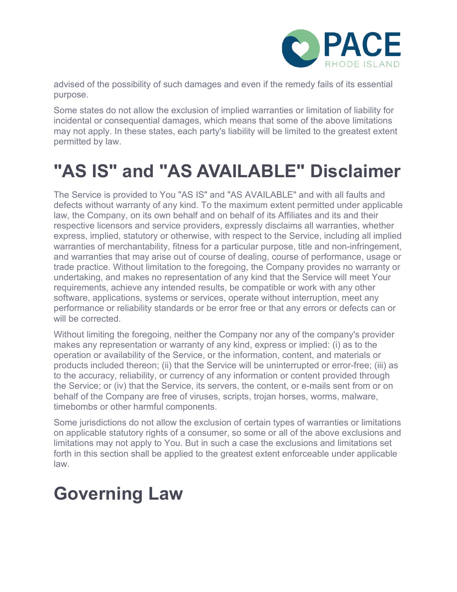

advised of the possibility of such damages and even if the remedy fails of its essential purpose.

Some states do not allow the exclusion of implied warranties or limitation of liability for incidental or consequential damages, which means that some of the above limitations may not apply. In these states, each party's liability will be limited to the greatest extent permitted by law.

## **"AS IS" and "AS AVAILABLE" Disclaimer**

The Service is provided to You "AS IS" and "AS AVAILABLE" and with all faults and defects without warranty of any kind. To the maximum extent permitted under applicable law, the Company, on its own behalf and on behalf of its Affiliates and its and their respective licensors and service providers, expressly disclaims all warranties, whether express, implied, statutory or otherwise, with respect to the Service, including all implied warranties of merchantability, fitness for a particular purpose, title and non-infringement, and warranties that may arise out of course of dealing, course of performance, usage or trade practice. Without limitation to the foregoing, the Company provides no warranty or undertaking, and makes no representation of any kind that the Service will meet Your requirements, achieve any intended results, be compatible or work with any other software, applications, systems or services, operate without interruption, meet any performance or reliability standards or be error free or that any errors or defects can or will be corrected.

Without limiting the foregoing, neither the Company nor any of the company's provider makes any representation or warranty of any kind, express or implied: (i) as to the operation or availability of the Service, or the information, content, and materials or products included thereon; (ii) that the Service will be uninterrupted or error-free; (iii) as to the accuracy, reliability, or currency of any information or content provided through the Service; or (iv) that the Service, its servers, the content, or e-mails sent from or on behalf of the Company are free of viruses, scripts, trojan horses, worms, malware, timebombs or other harmful components.

Some jurisdictions do not allow the exclusion of certain types of warranties or limitations on applicable statutory rights of a consumer, so some or all of the above exclusions and limitations may not apply to You. But in such a case the exclusions and limitations set forth in this section shall be applied to the greatest extent enforceable under applicable law.

#### **Governing Law**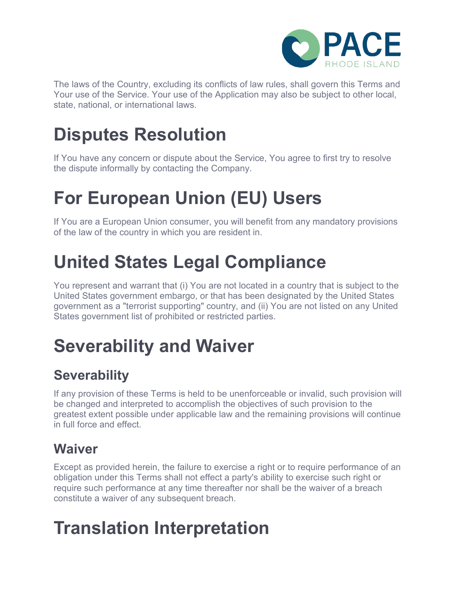

The laws of the Country, excluding its conflicts of law rules, shall govern this Terms and Your use of the Service. Your use of the Application may also be subject to other local, state, national, or international laws.

## **Disputes Resolution**

If You have any concern or dispute about the Service, You agree to first try to resolve the dispute informally by contacting the Company.

# **For European Union (EU) Users**

If You are a European Union consumer, you will benefit from any mandatory provisions of the law of the country in which you are resident in.

## **United States Legal Compliance**

You represent and warrant that (i) You are not located in a country that is subject to the United States government embargo, or that has been designated by the United States government as a "terrorist supporting" country, and (ii) You are not listed on any United States government list of prohibited or restricted parties.

# **Severability and Waiver**

#### **Severability**

If any provision of these Terms is held to be unenforceable or invalid, such provision will be changed and interpreted to accomplish the objectives of such provision to the greatest extent possible under applicable law and the remaining provisions will continue in full force and effect.

#### **Waiver**

Except as provided herein, the failure to exercise a right or to require performance of an obligation under this Terms shall not effect a party's ability to exercise such right or require such performance at any time thereafter nor shall be the waiver of a breach constitute a waiver of any subsequent breach.

## **Translation Interpretation**